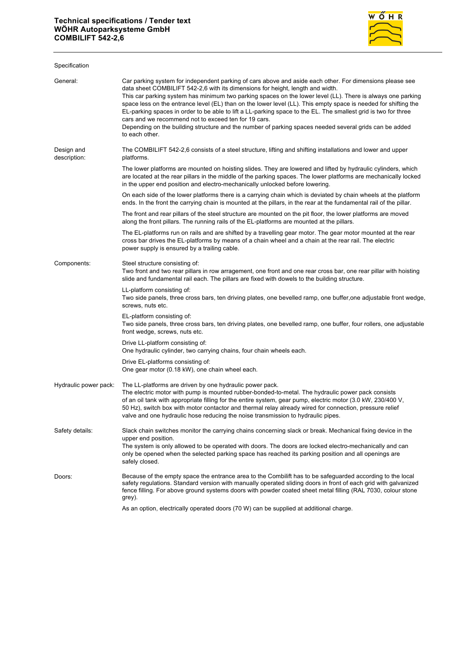

| Specification              |                                                                                                                                                                                                                                                                                                                                                                                                                                                                                                                                                                                                                                                                                                                                    |
|----------------------------|------------------------------------------------------------------------------------------------------------------------------------------------------------------------------------------------------------------------------------------------------------------------------------------------------------------------------------------------------------------------------------------------------------------------------------------------------------------------------------------------------------------------------------------------------------------------------------------------------------------------------------------------------------------------------------------------------------------------------------|
| General:                   | Car parking system for independent parking of cars above and aside each other. For dimensions please see<br>data sheet COMBILIFT 542-2,6 with its dimensions for height, length and width.<br>This car parking system has minimum two parking spaces on the lower level (LL). There is always one parking<br>space less on the entrance level (EL) than on the lower level (LL). This empty space is needed for shifting the<br>EL-parking spaces in order to be able to lift a LL-parking space to the EL. The smallest grid is two for three<br>cars and we recommend not to exceed ten for 19 cars.<br>Depending on the building structure and the number of parking spaces needed several grids can be added<br>to each other. |
| Design and<br>description: | The COMBILIFT 542-2,6 consists of a steel structure, lifting and shifting installations and lower and upper<br>platforms.                                                                                                                                                                                                                                                                                                                                                                                                                                                                                                                                                                                                          |
|                            | The lower platforms are mounted on hoisting slides. They are lowered and lifted by hydraulic cylinders, which<br>are located at the rear pillars in the middle of the parking spaces. The lower platforms are mechanically locked<br>in the upper end position and electro-mechanically unlocked before lowering.                                                                                                                                                                                                                                                                                                                                                                                                                  |
|                            | On each side of the lower platforms there is a carrying chain which is deviated by chain wheels at the platform<br>ends. In the front the carrying chain is mounted at the pillars, in the rear at the fundamental rail of the pillar.                                                                                                                                                                                                                                                                                                                                                                                                                                                                                             |
|                            | The front and rear pillars of the steel structure are mounted on the pit floor, the lower platforms are moved<br>along the front pillars. The running rails of the EL-platforms are mounted at the pillars.                                                                                                                                                                                                                                                                                                                                                                                                                                                                                                                        |
|                            | The EL-platforms run on rails and are shifted by a travelling gear motor. The gear motor mounted at the rear<br>cross bar drives the EL-platforms by means of a chain wheel and a chain at the rear rail. The electric<br>power supply is ensured by a trailing cable.                                                                                                                                                                                                                                                                                                                                                                                                                                                             |
| Components:                | Steel structure consisting of:<br>Two front and two rear pillars in row arragement, one front and one rear cross bar, one rear pillar with hoisting<br>slide and fundamental rail each. The pillars are fixed with dowels to the building structure.                                                                                                                                                                                                                                                                                                                                                                                                                                                                               |
|                            | LL-platform consisting of:<br>Two side panels, three cross bars, ten driving plates, one bevelled ramp, one buffer, one adjustable front wedge,<br>screws, nuts etc.                                                                                                                                                                                                                                                                                                                                                                                                                                                                                                                                                               |
|                            | EL-platform consisting of:<br>Two side panels, three cross bars, ten driving plates, one bevelled ramp, one buffer, four rollers, one adjustable<br>front wedge, screws, nuts etc.                                                                                                                                                                                                                                                                                                                                                                                                                                                                                                                                                 |
|                            | Drive LL-platform consisting of:<br>One hydraulic cylinder, two carrying chains, four chain wheels each.                                                                                                                                                                                                                                                                                                                                                                                                                                                                                                                                                                                                                           |
|                            | Drive EL-platforms consisting of:<br>One gear motor (0.18 kW), one chain wheel each.                                                                                                                                                                                                                                                                                                                                                                                                                                                                                                                                                                                                                                               |
| Hydraulic power pack:      | The LL-platforms are driven by one hydraulic power pack.<br>The electric motor with pump is mounted rubber-bonded-to-metal. The hydraulic power pack consists<br>of an oil tank with appropriate filling for the entire system, gear pump, electric motor (3.0 kW, 230/400 V,<br>50 Hz), switch box with motor contactor and thermal relay already wired for connection, pressure relief<br>valve and one hydraulic hose reducing the noise transmission to hydraulic pipes.                                                                                                                                                                                                                                                       |
| Safety details:            | Slack chain switches monitor the carrying chains concerning slack or break. Mechanical fixing device in the<br>upper end position.<br>The system is only allowed to be operated with doors. The doors are locked electro-mechanically and can<br>only be opened when the selected parking space has reached its parking position and all openings are<br>safely closed.                                                                                                                                                                                                                                                                                                                                                            |
| Doors:                     | Because of the empty space the entrance area to the Combilift has to be safeguarded according to the local<br>safety regulations. Standard version with manually operated sliding doors in front of each grid with galvanized<br>fence filling. For above ground systems doors with powder coated sheet metal filling (RAL 7030, colour stone<br>grey).                                                                                                                                                                                                                                                                                                                                                                            |
|                            | As an option, electrically operated doors (70 W) can be supplied at additional charge.                                                                                                                                                                                                                                                                                                                                                                                                                                                                                                                                                                                                                                             |